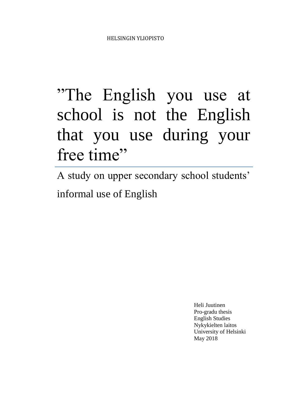# "The English you use at school is not the English that you use during your free time"

A study on upper secondary school students' informal use of English

> Heli Juutinen Pro-gradu thesis English Studies Nykykielten laitos University of Helsinki May 2018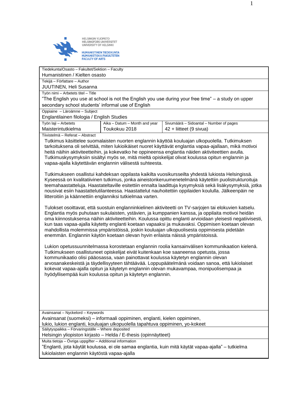

Tiedekunta/Osasto – Fakultet/Sektion – Faculty Humanistinen / Kielten osasto Tekijä – Författare – Author

JUUTINEN, Heli Susanna

Työn nimi – Arbetets titel – Title

"The English you use at school is not the English you use during your free time" – a study on upper secondary school students' informal use of English

Oppiaine – Läroämne – Subject

Englantilainen filologia / English Studies

| Työn laji – Arbetets | Aika – Datum – Month and year | Sivumäärä – Sidoantal – Number of pages |
|----------------------|-------------------------------|-----------------------------------------|
| Maisterintutkielma   | Toukokuu 2018                 | $42 +$ liitteet (9 sivua)               |
|                      |                               |                                         |

Tiivistelmä – Referat – Abstract

Tutkimus käsittelee suomalaisten nuorten englannin käyttöä kouluajan ulkopuolella. Tutkimuksen tarkoituksena oli selvittää, miten lukioikäiset nuoret käyttävät englantia vapaa-ajallaan, mikä motivoi heitä näihin aktiviteetteihin, ja kokevatko he oppineensa englantia näiden aktiviteettien avulla. Tutkimuskysymyksiin sisältyi myös se, mitä mieltä opiskelijat olivat koulussa opitun englannin ja vapaa-ajalla käytettävän englannin välisestä suhteesta.

Tutkimukseen osallistui kahdeksan oppilasta kaikilta vuosikursseilta yhdestä lukiosta Helsingissä. Kyseessä on kvalitatiivinen tutkimus, jonka aineistonkeruumenetelmänä käytettiin puolistrukturoituja teemahaastatteluja. Haastateltaville esitettiin ennalta laadittuja kysymyksiä sekä lisäkysymyksiä, jotka nousivat esiin haastattelutilanteessa. Haastattelut nauhoitettiin oppilaiden koululla. Jälkeenpäin ne litteroitiin ja käännettiin englanniksi tutkielmaa varten.

Tulokset osoittavat, että suostuin englanninkielinen aktiviteetti on TV-sarjojen tai elokuvien katselu. Englantia myös puhutaan sukulaisten, ystävien, ja kumppanien kanssa, ja oppilaita motivoi heidän oma kiinnostuksensa näihin aktiviteetteihin. Koulussa opittu englanti arvioidaan yleisesti negatiivisesti, kun taas vapaa-ajalla käytetty englanti koetaan vapaaksi ja mukavaksi. Oppimisen koetaan olevan mahdollista molemmissa ympäristöissä, joskin kouluajan ulkopuolisesta oppimisesta pidetään enemmän. Englannin käytön koetaan olevan hyvin erilaista näissä ympäristoissä.

Lukion opetussuunnitelmassa korostetaan englannin roolia kansainvälisen kommunikaation kielenä. Tutkimukseen osallistuneet opiskelijat eivät kuitenkaan koe saaneensa opetusta, jossa kommunikaatio olisi pääosassa, vaan painottavat koulussa käytetyn englannin olevan arvosanakeskeistä ja täydellisyyteen tähtäävää. Loppupäätelmänä voidaan sanoa, että lukiolaiset kokevat vapaa-ajalla opitun ja käytetyn englannin olevan mukavampaa, monipuolisempaa ja hyödyllisempää kuin koulussa opitun ja käytetyn englannin.

Avainsanat – Nyckelord – Keywords

Avainsanat (suomeksi) – informaali oppiminen, englanti, kielen oppiminen,

lukio, lukion englanti, kouluajan ulkopuolella tapahtuva oppiminen, yo-kokeet

Säilytyspaikka – Förvaringställe – Where deposited

Helsingin yliopiston kirjasto – Helda / E-thesis (opinnäytteet)

Muita tietoja – Övriga uppgifter – Additional information

"Englanti, jota käytät koulussa, ei ole samaa englantia, kuin mitä käytät vapaa-ajalla" – tutkielma lukiolaisten englannin käytöstä vapaa-ajalla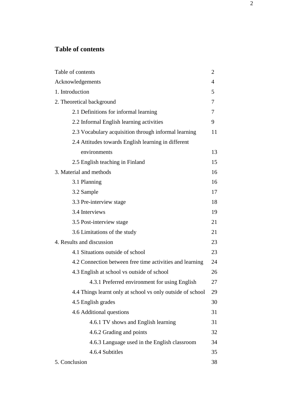# **Table of contents**

| Table of contents                                          |    |
|------------------------------------------------------------|----|
| Acknowledgements                                           |    |
| 1. Introduction                                            |    |
| 2. Theoretical background                                  |    |
| 2.1 Definitions for informal learning                      |    |
| 2.2 Informal English learning activities                   | 9  |
| 2.3 Vocabulary acquisition through informal learning       |    |
| 2.4 Attitudes towards English learning in different        |    |
| environments                                               | 13 |
| 2.5 English teaching in Finland                            |    |
| 3. Material and methods                                    |    |
| 3.1 Planning                                               | 16 |
| 3.2 Sample                                                 | 17 |
| 3.3 Pre-interview stage                                    |    |
| 3.4 Interviews                                             |    |
| 3.5 Post-interview stage                                   |    |
| 3.6 Limitations of the study                               |    |
| 4. Results and discussion                                  |    |
| 4.1 Situations outside of school                           |    |
| 4.2 Connection between free time activities and learning   |    |
| 4.3 English at school vs outside of school                 |    |
| 4.3.1 Preferred environment for using English              | 27 |
| 4.4 Things learnt only at school vs only outside of school |    |
| 4.5 English grades                                         |    |
| 4.6 Additional questions                                   |    |
| 4.6.1 TV shows and English learning                        | 31 |
| 4.6.2 Grading and points                                   | 32 |
| 4.6.3 Language used in the English classroom               | 34 |
| 4.6.4 Subtitles                                            | 35 |
| 5. Conclusion                                              |    |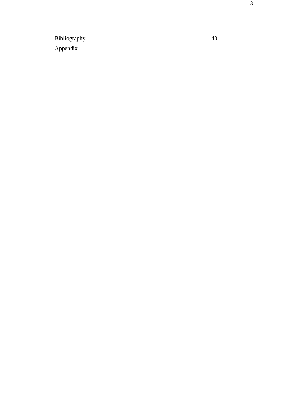Bibliography 40 Appendix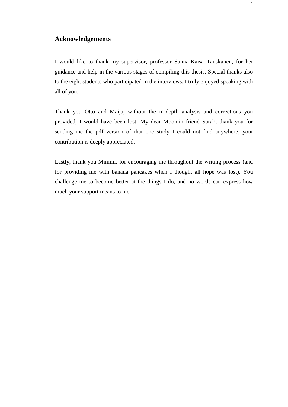## **Acknowledgements**

I would like to thank my supervisor, professor Sanna-Kaisa Tanskanen, for her guidance and help in the various stages of compiling this thesis. Special thanks also to the eight students who participated in the interviews, I truly enjoyed speaking with all of you.

Thank you Otto and Maija, without the in-depth analysis and corrections you provided, I would have been lost. My dear Moomin friend Sarah, thank you for sending me the pdf version of that one study I could not find anywhere, your contribution is deeply appreciated.

Lastly, thank you Mimmi, for encouraging me throughout the writing process (and for providing me with banana pancakes when I thought all hope was lost). You challenge me to become better at the things I do, and no words can express how much your support means to me.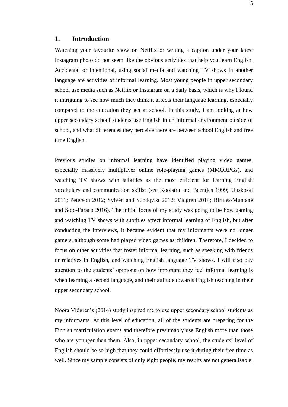## **1. Introduction**

Watching your favourite show on Netflix or writing a caption under your latest Instagram photo do not seem like the obvious activities that help you learn English. Accidental or intentional, using social media and watching TV shows in another language are activities of informal learning. Most young people in upper secondary school use media such as Netflix or Instagram on a daily basis, which is why I found it intriguing to see how much they think it affects their language learning, especially compared to the education they get at school. In this study, I am looking at how upper secondary school students use English in an informal environment outside of school, and what differences they perceive there are between school English and free time English.

Previous studies on informal learning have identified playing video games, especially massively multiplayer online role-playing games (MMORPGs), and watching TV shows with subtitles as the most efficient for learning English vocabulary and communication skills: (see Koolstra and Beentjes 1999; Uuskoski 2011; Peterson 2012; Sylvén and Sundqvist 2012; Vidgren 2014; Birulés-Muntané and Soto-Faraco 2016). The initial focus of my study was going to be how gaming and watching TV shows with subtitles affect informal learning of English, but after conducting the interviews, it became evident that my informants were no longer gamers, although some had played video games as children. Therefore, I decided to focus on other activities that foster informal learning, such as speaking with friends or relatives in English, and watching English language TV shows. I will also pay attention to the students' opinions on how important they feel informal learning is when learning a second language, and their attitude towards English teaching in their upper secondary school.

Noora Vidgren's (2014) study inspired me to use upper secondary school students as my informants. At this level of education, all of the students are preparing for the Finnish matriculation exams and therefore presumably use English more than those who are younger than them. Also, in upper secondary school, the students' level of English should be so high that they could effortlessly use it during their free time as well. Since my sample consists of only eight people, my results are not generalisable,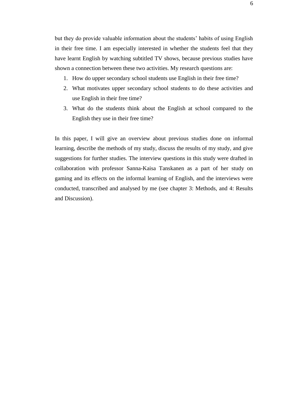but they do provide valuable information about the students' habits of using English in their free time. I am especially interested in whether the students feel that they have learnt English by watching subtitled TV shows, because previous studies have shown a connection between these two activities. My research questions are:

- 1. How do upper secondary school students use English in their free time?
- 2. What motivates upper secondary school students to do these activities and use English in their free time?
- 3. What do the students think about the English at school compared to the English they use in their free time?

In this paper, I will give an overview about previous studies done on informal learning, describe the methods of my study, discuss the results of my study, and give suggestions for further studies. The interview questions in this study were drafted in collaboration with professor Sanna-Kaisa Tanskanen as a part of her study on gaming and its effects on the informal learning of English, and the interviews were conducted, transcribed and analysed by me (see chapter 3: Methods, and 4: Results and Discussion).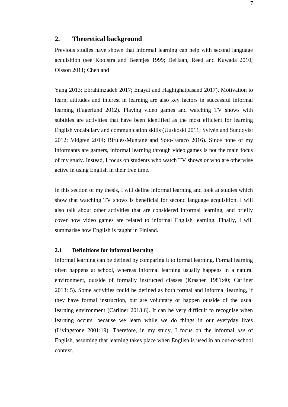## **2. Theoretical background**

Previous studies have shown that informal learning can help with second language acquisition (see Koolstra and Beentjes 1999; DeHaan, Reed and Kuwada 2010; Olsson 2011; Chen and

Yang 2013; Ebrahimzadeh 2017; Enayat and Haghighatpasand 2017). Motivation to learn, attitudes and interest in learning are also key factors in successful informal learning (Fagerlund 2012). Playing video games and watching TV shows with subtitles are activities that have been identified as the most efficient for learning English vocabulary and communication skills (Uuskoski 2011; Sylvén and Sundqvist 2012; Vidgren 2014; Birulés-Muntané and Soto-Faraco 2016). Since none of my informants are gamers, informal learning through video games is not the main focus of my study. Instead, I focus on students who watch TV shows or who are otherwise active in using English in their free time.

In this section of my thesis, I will define informal learning and look at studies which show that watching TV shows is beneficial for second language acquisition. I will also talk about other activities that are considered informal learning, and briefly cover how video games are related to informal English learning. Finally, I will summarise how English is taught in Finland.

#### **2.1 Definitions for informal learning**

Informal learning can be defined by comparing it to formal learning. Formal learning often happens at school, whereas informal learning usually happens in a natural environment, outside of formally instructed classes (Krashen 1981:40; Carliner 2013: 5). Some activities could be defined as both formal and informal learning, if they have formal instruction, but are voluntary or happen outside of the usual learning environment (Carliner 2013:6). It can be very difficult to recognise when learning occurs, because we learn while we do things in our everyday lives (Livingstone 2001:19). Therefore, in my study, I focus on the informal *use* of English, assuming that learning takes place when English is used in an out-of-school context.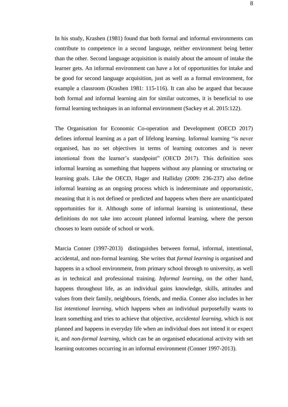In his study, Krashen (1981) found that both formal and informal environments can contribute to competence in a second language, neither environment being better than the other. Second language acquisition is mainly about the amount of intake the learner gets. An informal environment can have a lot of opportunities for intake and be good for second language acquisition, just as well as a formal environment, for example a classroom (Krashen 1981: 115-116). It can also be argued that because both formal and informal learning aim for similar outcomes, it is beneficial to use formal learning techniques in an informal environment (Sackey et al. 2015:122).

The Organisation for Economic Co-operation and Development (OECD 2017) defines informal learning as a part of lifelong learning. Informal learning "is never organised, has no set objectives in terms of learning outcomes and is never intentional from the learner's standpoint" (OECD 2017). This definition sees informal learning as something that happens without any planning or structuring or learning goals. Like the OECD, Hager and Halliday (2009: 236-237) also define informal learning as an ongoing process which is indeterminate and opportunistic, meaning that it is not defined or predicted and happens when there are unanticipated opportunities for it. Although some of informal learning is unintentional, these definitions do not take into account planned informal learning, where the person chooses to learn outside of school or work.

Marcia Conner (1997-2013) distinguishes between formal, informal, intentional, accidental, and non-formal learning. She writes that *formal learning* is organised and happens in a school environment, from primary school through to university, as well as in technical and professional training. *Informal learning*, on the other hand, happens throughout life, as an individual gains knowledge, skills, attitudes and values from their family, neighbours, friends, and media. Conner also includes in her list *intentional learning,* which happens when an individual purposefully wants to learn something and tries to achieve that objective, *accidental learning*, which is not planned and happens in everyday life when an individual does not intend it or expect it, and *non-formal learning*, which can be an organised educational activity with set learning outcomes occurring in an informal environment (Conner 1997-2013).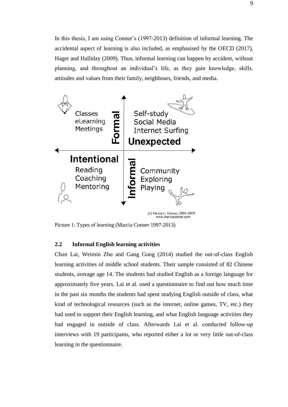In this thesis, I am using Conner's (1997-2013) definition of informal learning. The accidental aspect of learning is also included, as emphasised by the OECD (2017), Hager and Halliday (2009). Thus, informal learning can happen by accident, without planning, and throughout an individual's life, as they gain knowledge, skills, attitudes and values from their family, neighbours, friends, and media.



Picture 1: Types of learning (Marcia Conner 1997-2013)

## **2.2 Informal English learning activities**

Chun Lai, Weimin Zhu and Gang Gong (2014) studied the out-of-class English learning activities of middle school students. Their sample consisted of 82 Chinese students, average age 14. The students had studied English as a foreign language for approximately five years. Lai et al. used a questionnaire to find out how much time in the past six months the students had spent studying English outside of class, what kind of technological resources (such as the internet, online games, TV, etc.) they had used to support their English learning, and what English language activities they had engaged in outside of class. Afterwards Lai et al. conducted follow-up interviews with 19 participants, who reported either a lot or very little out-of-class learning in the questionnaire.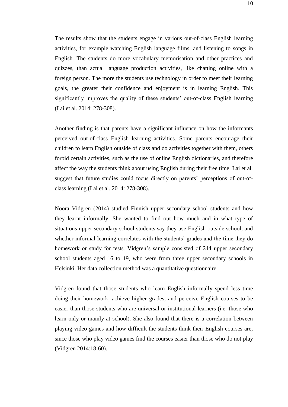The results show that the students engage in various out-of-class English learning activities, for example watching English language films, and listening to songs in English. The students do more vocabulary memorisation and other practices and quizzes, than actual language production activities, like chatting online with a foreign person. The more the students use technology in order to meet their learning goals, the greater their confidence and enjoyment is in learning English. This significantly improves the quality of these students' out-of-class English learning (Lai et al. 2014: 278-308).

Another finding is that parents have a significant influence on how the informants perceived out-of-class English learning activities. Some parents encourage their children to learn English outside of class and do activities together with them, others forbid certain activities, such as the use of online English dictionaries, and therefore affect the way the students think about using English during their free time. Lai et al. suggest that future studies could focus directly on parents' perceptions of out-ofclass learning (Lai et al. 2014: 278-308).

Noora Vidgren (2014) studied Finnish upper secondary school students and how they learnt informally. She wanted to find out how much and in what type of situations upper secondary school students say they use English outside school, and whether informal learning correlates with the students' grades and the time they do homework or study for tests. Vidgren's sample consisted of 244 upper secondary school students aged 16 to 19, who were from three upper secondary schools in Helsinki. Her data collection method was a quantitative questionnaire.

Vidgren found that those students who learn English informally spend less time doing their homework, achieve higher grades, and perceive English courses to be easier than those students who are universal or institutional learners (i.e. those who learn only or mainly at school). She also found that there is a correlation between playing video games and how difficult the students think their English courses are, since those who play video games find the courses easier than those who do not play (Vidgren 2014:18-60).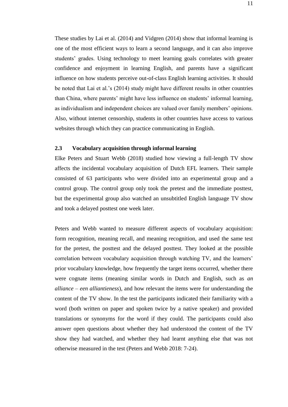These studies by Lai et al. (2014) and Vidgren (2014) show that informal learning is one of the most efficient ways to learn a second language, and it can also improve students' grades. Using technology to meet learning goals correlates with greater confidence and enjoyment in learning English, and parents have a significant influence on how students perceive out-of-class English learning activities. It should be noted that Lai et al.'s (2014) study might have different results in other countries than China, where parents' might have less influence on students' informal learning, as individualism and independent choices are valued over family members' opinions. Also, without internet censorship, students in other countries have access to various websites through which they can practice communicating in English.

## **2.3 Vocabulary acquisition through informal learning**

Elke Peters and Stuart Webb (2018) studied how viewing a full-length TV show affects the incidental vocabulary acquisition of Dutch EFL learners. Their sample consisted of 63 participants who were divided into an experimental group and a control group. The control group only took the pretest and the immediate posttest, but the experimental group also watched an unsubtitled English language TV show and took a delayed posttest one week later.

Peters and Webb wanted to measure different aspects of vocabulary acquisition: form recognition, meaning recall, and meaning recognition, and used the same test for the pretest, the posttest and the delayed posttest. They looked at the possible correlation between vocabulary acquisition through watching TV, and the learners' prior vocabulary knowledge, how frequently the target items occurred, whether there were cognate items (meaning similar words in Dutch and English, such as *an alliance* – *een alliantieness*), and how relevant the items were for understanding the content of the TV show. In the test the participants indicated their familiarity with a word (both written on paper and spoken twice by a native speaker) and provided translations or synonyms for the word if they could. The participants could also answer open questions about whether they had understood the content of the TV show they had watched, and whether they had learnt anything else that was not otherwise measured in the test (Peters and Webb 2018: 7-24).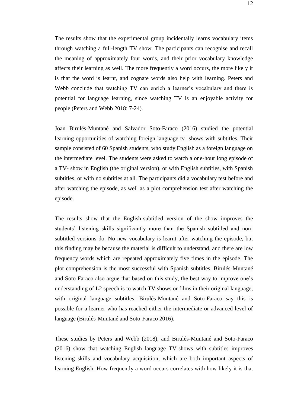The results show that the experimental group incidentally learns vocabulary items through watching a full-length TV show. The participants can recognise and recall the meaning of approximately four words, and their prior vocabulary knowledge affects their learning as well. The more frequently a word occurs, the more likely it is that the word is learnt, and cognate words also help with learning. Peters and Webb conclude that watching TV can enrich a learner's vocabulary and there is potential for language learning, since watching TV is an enjoyable activity for people (Peters and Webb 2018: 7-24).

Joan Birulés-Muntané and Salvador Soto-Faraco (2016) studied the potential learning opportunities of watching foreign language tv- shows with subtitles. Their sample consisted of 60 Spanish students, who study English as a foreign language on the intermediate level. The students were asked to watch a one-hour long episode of a TV- show in English (the original version), or with English subtitles, with Spanish subtitles, or with no subtitles at all. The participants did a vocabulary test before and after watching the episode, as well as a plot comprehension test after watching the episode.

The results show that the English-subtitled version of the show improves the students' listening skills significantly more than the Spanish subtitled and nonsubtitled versions do. No new vocabulary is learnt after watching the episode, but this finding may be because the material is difficult to understand, and there are low frequency words which are repeated approximately five times in the episode. The plot comprehension is the most successful with Spanish subtitles. Birulés-Muntané and Soto-Faraco also argue that based on this study, the best way to improve one's understanding of L2 speech is to watch TV shows or films in their original language, with original language subtitles. Birulés-Muntané and Soto-Faraco say this is possible for a learner who has reached either the intermediate or advanced level of language (Birulés-Muntané and Soto-Faraco 2016).

These studies by Peters and Webb (2018), and Birulés-Muntané and Soto-Faraco (2016) show that watching English language TV-shows with subtitles improves listening skills and vocabulary acquisition, which are both important aspects of learning English. How frequently a word occurs correlates with how likely it is that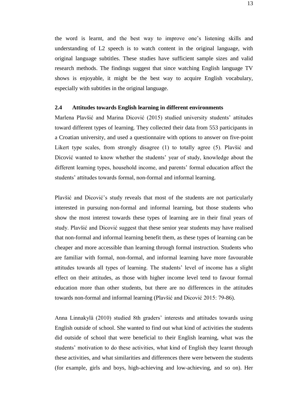the word is learnt, and the best way to improve one's listening skills and understanding of L2 speech is to watch content in the original language, with original language subtitles. These studies have sufficient sample sizes and valid research methods. The findings suggest that since watching English language TV shows is enjoyable, it might be the best way to acquire English vocabulary, especially with subtitles in the original language.

#### **2.4 Attitudes towards English learning in different environments**

Marlena Plavšić and Marina Dicović (2015) studied university students' attitudes toward different types of learning. They collected their data from 553 participants in a Croatian university, and used a questionnaire with options to answer on five-point Likert type scales, from strongly disagree (1) to totally agree (5). Plavšić and Dicović wanted to know whether the students' year of study, knowledge about the different learning types, household income, and parents' formal education affect the students' attitudes towards formal, non-formal and informal learning.

Plavšić and Dicović's study reveals that most of the students are not particularly interested in pursuing non-formal and informal learning, but those students who show the most interest towards these types of learning are in their final years of study. Plavšić and Dicović suggest that these senior year students may have realised that non-formal and informal learning benefit them, as these types of learning can be cheaper and more accessible than learning through formal instruction. Students who are familiar with formal, non-formal, and informal learning have more favourable attitudes towards all types of learning. The students' level of income has a slight effect on their attitudes, as those with higher income level tend to favour formal education more than other students, but there are no differences in the attitudes towards non-formal and informal learning (Plavšić and Dicović 2015: 79-86).

Anna Linnakylä (2010) studied 8th graders' interests and attitudes towards using English outside of school. She wanted to find out what kind of activities the students did outside of school that were beneficial to their English learning, what was the students' motivation to do these activities, what kind of English they learnt through these activities, and what similarities and differences there were between the students (for example, girls and boys, high-achieving and low-achieving, and so on). Her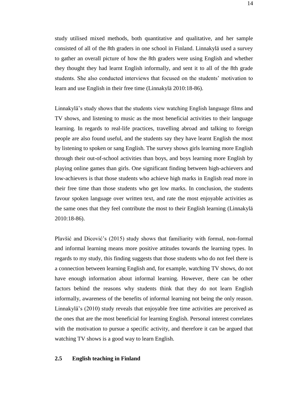study utilised mixed methods, both quantitative and qualitative, and her sample consisted of all of the 8th graders in one school in Finland. Linnakylä used a survey to gather an overall picture of how the 8th graders were using English and whether they thought they had learnt English informally, and sent it to all of the 8th grade students. She also conducted interviews that focused on the students' motivation to learn and use English in their free time (Linnakylä 2010:18-86).

Linnakylä's study shows that the students view watching English language films and TV shows, and listening to music as the most beneficial activities to their language learning. In regards to real-life practices, travelling abroad and talking to foreign people are also found useful, and the students say they have learnt English the most by listening to spoken or sang English. The survey shows girls learning more English through their out-of-school activities than boys, and boys learning more English by playing online games than girls. One significant finding between high-achievers and low-achievers is that those students who achieve high marks in English read more in their free time than those students who get low marks. In conclusion, the students favour spoken language over written text, and rate the most enjoyable activities as the same ones that they feel contribute the most to their English learning (Linnakylä 2010:18-86).

Plavšić and Dicović's (2015) study shows that familiarity with formal, non-formal and informal learning means more positive attitudes towards the learning types. In regards to my study, this finding suggests that those students who do not feel there is a connection between learning English and, for example, watching TV shows, do not have enough information about informal learning. However, there can be other factors behind the reasons why students think that they do not learn English informally, awareness of the benefits of informal learning not being the only reason. Linnakylä's (2010) study reveals that enjoyable free time activities are perceived as the ones that are the most beneficial for learning English. Personal interest correlates with the motivation to pursue a specific activity, and therefore it can be argued that watching TV shows is a good way to learn English.

## **2.5 English teaching in Finland**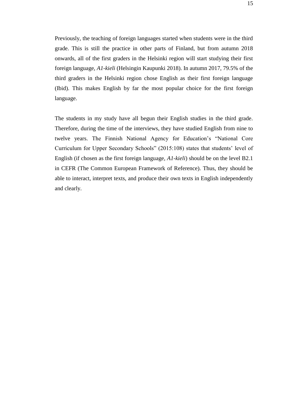Previously, the teaching of foreign languages started when students were in the third grade. This is still the practice in other parts of Finland, but from autumn 2018 onwards, all of the first graders in the Helsinki region will start studying their first foreign language, *A1-kieli* (Helsingin Kaupunki 2018). In autumn 2017, 79.5% of the third graders in the Helsinki region chose English as their first foreign language (Ibid). This makes English by far the most popular choice for the first foreign language.

The students in my study have all begun their English studies in the third grade. Therefore, during the time of the interviews, they have studied English from nine to twelve years. The Finnish National Agency for Education's "National Core Curriculum for Upper Secondary Schools" (2015:108) states that students' level of English (if chosen as the first foreign language, *A1-kieli*) should be on the level B2.1 in CEFR (The Common European Framework of Reference). Thus, they should be able to interact, interpret texts, and produce their own texts in English independently and clearly.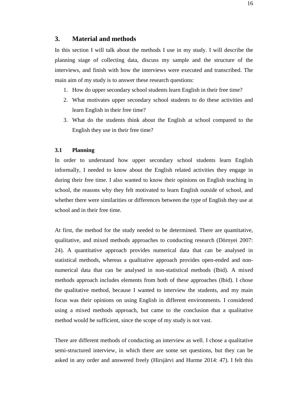## **3. Material and methods**

In this section I will talk about the methods I use in my study. I will describe the planning stage of collecting data, discuss my sample and the structure of the interviews, and finish with how the interviews were executed and transcribed. The main aim of my study is to answer these research questions:

- 1. How do upper secondary school students learn English in their free time?
- 2. What motivates upper secondary school students to do these activities and learn English in their free time?
- 3. What do the students think about the English at school compared to the English they use in their free time?

#### **3.1 Planning**

In order to understand how upper secondary school students learn English informally, I needed to know about the English related activities they engage in during their free time. I also wanted to know their opinions on English teaching in school, the reasons why they felt motivated to learn English outside of school, and whether there were similarities or differences between the type of English they use at school and in their free time.

At first, the method for the study needed to be determined. There are quantitative, qualitative, and mixed methods approaches to conducting research (Dörnyei 2007: 24). A quantitative approach provides numerical data that can be analysed in statistical methods, whereas a qualitative approach provides open-ended and nonnumerical data that can be analysed in non-statistical methods (Ibid). A mixed methods approach includes elements from both of these approaches (Ibid). I chose the qualitative method, because I wanted to interview the students, and my main focus was their opinions on using English in different environments. I considered using a mixed methods approach, but came to the conclusion that a qualitative method would be sufficient, since the scope of my study is not vast.

There are different methods of conducting an interview as well. I chose a qualitative semi-structured interview, in which there are some set questions, but they can be asked in any order and answered freely (Hirsjärvi and Hurme 2014: 47). I felt this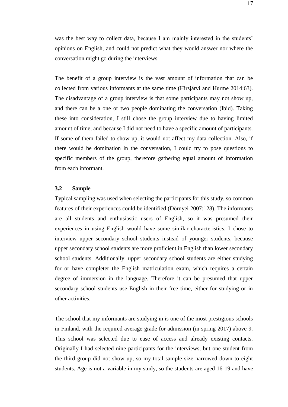was the best way to collect data, because I am mainly interested in the students' opinions on English, and could not predict what they would answer nor where the conversation might go during the interviews.

The benefit of a group interview is the vast amount of information that can be collected from various informants at the same time (Hirsjärvi and Hurme 2014:63). The disadvantage of a group interview is that some participants may not show up, and there can be a one or two people dominating the conversation (Ibid). Taking these into consideration, I still chose the group interview due to having limited amount of time, and because I did not need to have a specific amount of participants. If some of them failed to show up, it would not affect my data collection. Also, if there would be domination in the conversation, I could try to pose questions to specific members of the group, therefore gathering equal amount of information from each informant.

#### **3.2 Sample**

Typical sampling was used when selecting the participants for this study, so common features of their experiences could be identified (Dörnyei 2007:128). The informants are all students and enthusiastic users of English, so it was presumed their experiences in using English would have some similar characteristics. I chose to interview upper secondary school students instead of younger students, because upper secondary school students are more proficient in English than lower secondary school students. Additionally, upper secondary school students are either studying for or have completer the English matriculation exam, which requires a certain degree of immersion in the language. Therefore it can be presumed that upper secondary school students use English in their free time, either for studying or in other activities.

The school that my informants are studying in is one of the most prestigious schools in Finland, with the required average grade for admission (in spring 2017) above 9. This school was selected due to ease of access and already existing contacts. Originally I had selected nine participants for the interviews, but one student from the third group did not show up, so my total sample size narrowed down to eight students. Age is not a variable in my study, so the students are aged 16-19 and have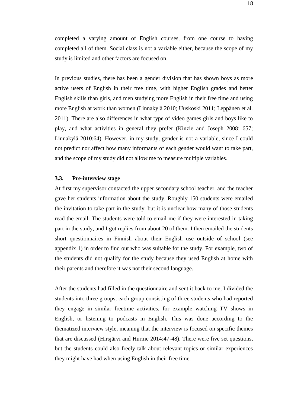completed a varying amount of English courses, from one course to having completed all of them. Social class is not a variable either, because the scope of my study is limited and other factors are focused on.

In previous studies, there has been a gender division that has shown boys as more active users of English in their free time, with higher English grades and better English skills than girls, and men studying more English in their free time and using more English at work than women (Linnakylä 2010; Uuskoski 2011; Leppänen et al. 2011). There are also differences in what type of video games girls and boys like to play, and what activities in general they prefer (Kinzie and Joseph 2008: 657; Linnakylä 2010:64). However, in my study, gender is not a variable, since I could not predict nor affect how many informants of each gender would want to take part, and the scope of my study did not allow me to measure multiple variables.

#### **3.3. Pre-interview stage**

At first my supervisor contacted the upper secondary school teacher, and the teacher gave her students information about the study. Roughly 150 students were emailed the invitation to take part in the study, but it is unclear how many of those students read the email. The students were told to email me if they were interested in taking part in the study, and I got replies from about 20 of them. I then emailed the students short questionnaires in Finnish about their English use outside of school (see appendix 1) in order to find out who was suitable for the study. For example, two of the students did not qualify for the study because they used English at home with their parents and therefore it was not their second language.

After the students had filled in the questionnaire and sent it back to me, I divided the students into three groups, each group consisting of three students who had reported they engage in similar freetime activities, for example watching TV shows in English, or listening to podcasts in English. This was done according to the thematized interview style, meaning that the interview is focused on specific themes that are discussed (Hirsjärvi and Hurme 2014:47-48). There were five set questions, but the students could also freely talk about relevant topics or similar experiences they might have had when using English in their free time.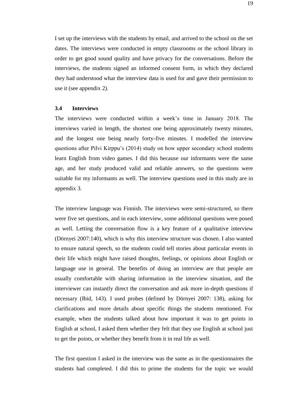I set up the interviews with the students by email, and arrived to the school on the set dates. The interviews were conducted in empty classrooms or the school library in order to get good sound quality and have privacy for the conversations. Before the interviews, the students signed an informed consent form, in which they declared they had understood what the interview data is used for and gave their permission to use it (see appendix 2).

#### **3.4 Interviews**

The interviews were conducted within a week's time in January 2018. The interviews varied in length, the shortest one being approximately twenty minutes, and the longest one being nearly forty-five minutes. I modelled the interview questions after Pilvi Kirppu's (2014) study on how upper secondary school students learn English from video games. I did this because our informants were the same age, and her study produced valid and reliable answers, so the questions were suitable for my informants as well. The interview questions used in this study are in appendix 3.

The interview language was Finnish. The interviews were semi-structured, so there were five set questions, and in each interview, some additional questions were posed as well. Letting the conversation flow is a key feature of a qualitative interview (Dörnyei 2007:140), which is why this interview structure was chosen. I also wanted to ensure natural speech, so the students could tell stories about particular events in their life which might have raised thoughts, feelings, or opinions about English or language use in general. The benefits of doing an interview are that people are usually comfortable with sharing information in the interview situation, and the interviewer can instantly direct the conversation and ask more in-depth questions if necessary (Ibid, 143). I used probes (defined by Dörnyei 2007: 138), asking for clarifications and more details about specific things the students mentioned. For example, when the students talked about how important it was to get points in English at school, I asked them whether they felt that they use English at school just to get the points, or whether they benefit from it in real life as well.

The first question I asked in the interview was the same as in the questionnaires the students had completed. I did this to prime the students for the topic we would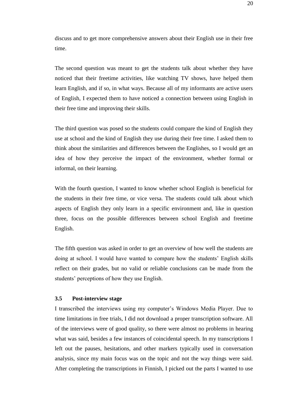discuss and to get more comprehensive answers about their English use in their free time.

The second question was meant to get the students talk about whether they have noticed that their freetime activities, like watching TV shows, have helped them learn English, and if so, in what ways. Because all of my informants are active users of English, I expected them to have noticed a connection between using English in their free time and improving their skills.

The third question was posed so the students could compare the kind of English they use at school and the kind of English they use during their free time. I asked them to think about the similarities and differences between the Englishes, so I would get an idea of how they perceive the impact of the environment, whether formal or informal, on their learning.

With the fourth question, I wanted to know whether school English is beneficial for the students in their free time, or vice versa. The students could talk about which aspects of English they only learn in a specific environment and, like in question three, focus on the possible differences between school English and freetime English.

The fifth question was asked in order to get an overview of how well the students are doing at school. I would have wanted to compare how the students' English skills reflect on their grades, but no valid or reliable conclusions can be made from the students' perceptions of how they use English.

## **3.5 Post-interview stage**

I transcribed the interviews using my computer's Windows Media Player. Due to time limitations in free trials, I did not download a proper transcription software. All of the interviews were of good quality, so there were almost no problems in hearing what was said, besides a few instances of coincidental speech. In my transcriptions I left out the pauses, hesitations, and other markers typically used in conversation analysis, since my main focus was on the topic and not the way things were said. After completing the transcriptions in Finnish, I picked out the parts I wanted to use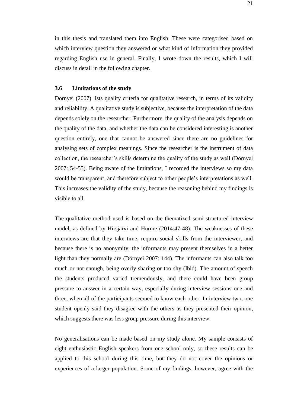in this thesis and translated them into English. These were categorised based on which interview question they answered or what kind of information they provided regarding English use in general. Finally, I wrote down the results, which I will discuss in detail in the following chapter.

#### **3.6 Limitations of the study**

Dörnyei (2007) lists quality criteria for qualitative research, in terms of its validity and reliability. A qualitative study is subjective, because the interpretation of the data depends solely on the researcher. Furthermore, the quality of the analysis depends on the quality of the data, and whether the data can be considered interesting is another question entirely, one that cannot be answered since there are no guidelines for analysing sets of complex meanings. Since the researcher is the instrument of data collection, the researcher's skills determine the quality of the study as well (Dörnyei 2007: 54-55). Being aware of the limitations, I recorded the interviews so my data would be transparent, and therefore subject to other people's interpretations as well. This increases the validity of the study, because the reasoning behind my findings is visible to all.

The qualitative method used is based on the thematized semi-structured interview model, as defined by Hirsjärvi and Hurme (2014:47-48). The weaknesses of these interviews are that they take time, require social skills from the interviewer, and because there is no anonymity, the informants may present themselves in a better light than they normally are (Dörnyei 2007: 144). The informants can also talk too much or not enough, being overly sharing or too shy (Ibid). The amount of speech the students produced varied tremendously, and there could have been group pressure to answer in a certain way, especially during interview sessions one and three, when all of the participants seemed to know each other. In interview two, one student openly said they disagree with the others as they presented their opinion, which suggests there was less group pressure during this interview.

No generalisations can be made based on my study alone. My sample consists of eight enthusiastic English speakers from one school only, so these results can be applied to this school during this time, but they do not cover the opinions or experiences of a larger population. Some of my findings, however, agree with the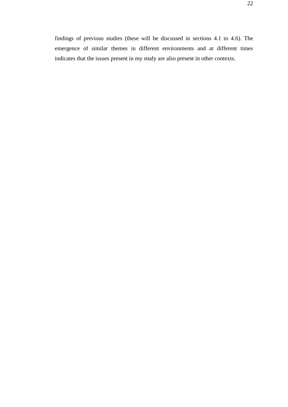22

findings of previous studies (these will be discussed in sections 4.1 to 4.6). The emergence of similar themes in different environments and at different times indicates that the issues present in my study are also present in other contexts.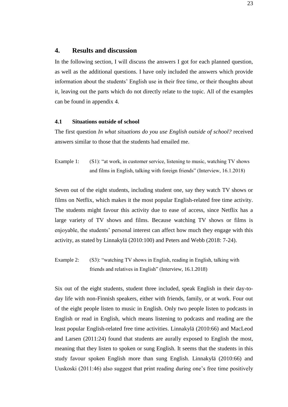## **4. Results and discussion**

In the following section, I will discuss the answers I got for each planned question, as well as the additional questions. I have only included the answers which provide information about the students' English use in their free time, or their thoughts about it, leaving out the parts which do not directly relate to the topic. All of the examples can be found in appendix 4.

#### **4.1 Situations outside of school**

The first question *In what situations do you use English outside of school?* received answers similar to those that the students had emailed me.

Example 1: (S1): "at work, in customer service, listening to music, watching TV shows and films in English, talking with foreign friends" (Interview, 16.1.2018)

Seven out of the eight students, including student one, say they watch TV shows or films on Netflix, which makes it the most popular English-related free time activity. The students might favour this activity due to ease of access, since Netflix has a large variety of TV shows and films. Because watching TV shows or films is enjoyable, the students' personal interest can affect how much they engage with this activity, as stated by Linnakylä (2010:100) and Peters and Webb (2018: 7-24).

Example 2: (S3): "watching TV shows in English, reading in English, talking with friends and relatives in English" (Interview, 16.1.2018)

Six out of the eight students, student three included, speak English in their day-today life with non-Finnish speakers, either with friends, family, or at work. Four out of the eight people listen to music in English. Only two people listen to podcasts in English or read in English, which means listening to podcasts and reading are the least popular English-related free time activities. Linnakylä (2010:66) and MacLeod and Larsen (2011:24) found that students are aurally exposed to English the most, meaning that they listen to spoken or sung English. It seems that the students in this study favour spoken English more than sung English. Linnakylä (2010:66) and Uuskoski (2011:46) also suggest that print reading during one's free time positively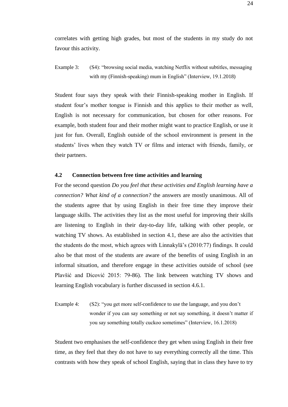correlates with getting high grades, but most of the students in my study do not favour this activity.

Example 3: (S4): "browsing social media, watching Netflix without subtitles, messaging with my (Finnish-speaking) mum in English" (Interview, 19.1.2018)

Student four says they speak with their Finnish-speaking mother in English. If student four's mother tongue is Finnish and this applies to their mother as well, English is not necessary for communication, but chosen for other reasons. For example, both student four and their mother might want to practice English, or use it just for fun. Overall, English outside of the school environment is present in the students' lives when they watch TV or films and interact with friends, family, or their partners.

#### **4.2 Connection between free time activities and learning**

For the second question *Do you feel that these activities and English learning have a connection? What kind of a connection?* the answers are mostly unanimous. All of the students agree that by using English in their free time they improve their language skills. The activities they list as the most useful for improving their skills are listening to English in their day-to-day life, talking with other people, or watching TV shows. As established in section 4.1, these are also the activities that the students do the most, which agrees with Linnakylä's (2010:77) findings. It could also be that most of the students are aware of the benefits of using English in an informal situation, and therefore engage in these activities outside of school (see Plavšić and Dicović 2015: 79-86). The link between watching TV shows and learning English vocabulary is further discussed in section 4.6.1.

Example 4: (S2): "you get more self-confidence to use the language, and you don't wonder if you can say something or not say something, it doesn't matter if you say something totally cuckoo sometimes" (Interview, 16.1.2018)

Student two emphasises the self-confidence they get when using English in their free time, as they feel that they do not have to say everything correctly all the time. This contrasts with how they speak of school English, saying that in class they have to try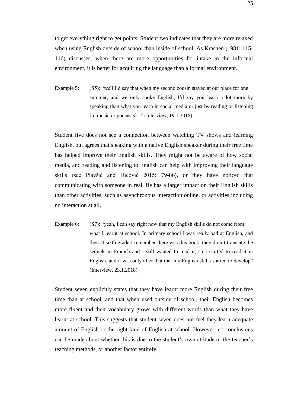to get everything right to get points. Student two indicates that they are more relaxed when using English outside of school than inside of school. As Krashen (1981: 115- 116) discusses, when there are more opportunities for intake in the informal environment, it is better for acquiring the language than a formal environment.

Example 5: (S5): "well I'd say that when my second cousin stayed at our place for one summer, and we only spoke English, I'd say you learn a lot more by speaking than what you learn in social media or just by reading or listening [to music or podcasts]..." (Interview, 19.1.2018)

Student five does not see a connection between watching TV shows and learning English, but agrees that speaking with a native English speaker during their free time has helped improve their English skills. They might not be aware of how social media, and reading and listening to English can help with improving their language skills (see Plavšić and Dicović 2015: 79-86), or they have noticed that communicating with someone in real life has a larger impact on their English skills than other activities, such as asynchronous interaction online, or activities including no interaction at all.

Example 6: (S7): "yeah, I can say right now that my English skills do not come from what I learnt at school. In primary school I was really bad at English, and then at sixth grade I remember there was this book, they didn't translate the sequels in Finnish and I still wanted to read it, so I started to read it in English, and it was only after that that my English skills started to develop" (Interview, 23.1.2018)

Student seven explicitly states that they have learnt more English during their free time than at school, and that when used outside of school, their English becomes more fluent and their vocabulary grows with different words than what they have learnt at school. This suggests that student seven does not feel they learn adequate amount of English or the right kind of English at school. However, no conclusions can be made about whether this is due to the student's own attitude or the teacher's teaching methods, or another factor entirely.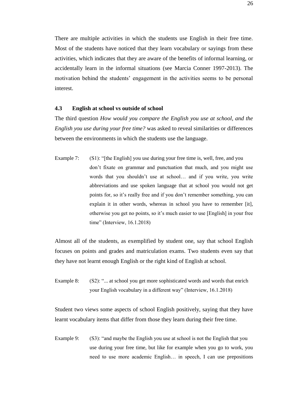There are multiple activities in which the students use English in their free time. Most of the students have noticed that they learn vocabulary or sayings from these activities, which indicates that they are aware of the benefits of informal learning, or accidentally learn in the informal situations (see Marcia Conner 1997-2013). The motivation behind the students' engagement in the activities seems to be personal interest.

#### **4.3 English at school vs outside of school**

The third question *How would you compare the English you use at school, and the English you use during your free time?* was asked to reveal similarities or differences between the environments in which the students use the language.

Example 7: (S1): "[the English] you use during your free time is, well, free, and you don't fixate on grammar and punctuation that much, and you might use words that you shouldn't use at school… and if you write, you write abbreviations and use spoken language that at school you would not get points for, so it's really free and if you don't remember something, you can explain it in other words, whereas in school you have to remember [it], otherwise you get no points, so it's much easier to use [English] in your free time" (Interview, 16.1.2018)

Almost all of the students, as exemplified by student one, say that school English focuses on points and grades and matriculation exams. Two students even say that they have not learnt enough English or the right kind of English at school.

Example 8: (S2): "... at school you get more sophisticated words and words that enrich your English vocabulary in a different way" (Interview, 16.1.2018)

Student two views some aspects of school English positively, saying that they have learnt vocabulary items that differ from those they learn during their free time.

Example 9: (S3): "and maybe the English you use at school is not the English that you use during your free time, but like for example when you go to work, you need to use more academic English… in speech, I can use prepositions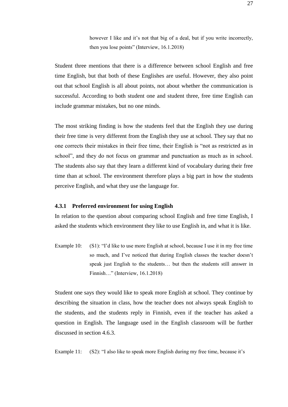however I like and it's not that big of a deal, but if you write incorrectly, then you lose points" (Interview, 16.1.2018)

Student three mentions that there is a difference between school English and free time English, but that both of these Englishes are useful. However, they also point out that school English is all about points, not about whether the communication is successful. According to both student one and student three, free time English can include grammar mistakes, but no one minds.

The most striking finding is how the students feel that the English they use during their free time is very different from the English they use at school. They say that no one corrects their mistakes in their free time, their English is "not as restricted as in school", and they do not focus on grammar and punctuation as much as in school. The students also say that they learn a different kind of vocabulary during their free time than at school. The environment therefore plays a big part in how the students perceive English, and what they use the language for.

#### **4.3.1 Preferred environment for using English**

In relation to the question about comparing school English and free time English, I asked the students which environment they like to use English in, and what it is like.

Example 10: (S1): "I'd like to use more English at school, because I use it in my free time so much, and I've noticed that during English classes the teacher doesn't speak just English to the students… but then the students still answer in Finnish…" (Interview, 16.1.2018)

Student one says they would like to speak more English at school. They continue by describing the situation in class, how the teacher does not always speak English to the students, and the students reply in Finnish, even if the teacher has asked a question in English. The language used in the English classroom will be further discussed in section 4.6.3.

Example 11: (S2): "I also like to speak more English during my free time, because it's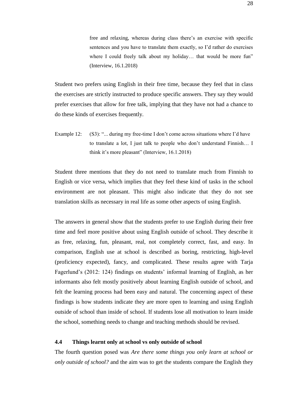free and relaxing, whereas during class there's an exercise with specific sentences and you have to translate them exactly, so I'd rather do exercises where I could freely talk about my holiday... that would be more fun" (Interview, 16.1.2018)

Student two prefers using English in their free time, because they feel that in class the exercises are strictly instructed to produce specific answers. They say they would prefer exercises that allow for free talk, implying that they have not had a chance to do these kinds of exercises frequently.

Example 12: (S3): "... during my free-time I don't come across situations where I'd have to translate a lot, I just talk to people who don't understand Finnish… I think it's more pleasant" (Interview, 16.1.2018)

Student three mentions that they do not need to translate much from Finnish to English or vice versa, which implies that they feel these kind of tasks in the school environment are not pleasant. This might also indicate that they do not see translation skills as necessary in real life as some other aspects of using English.

The answers in general show that the students prefer to use English during their free time and feel more positive about using English outside of school. They describe it as free, relaxing, fun, pleasant, real, not completely correct, fast, and easy. In comparison, English use at school is described as boring, restricting, high-level (proficiency expected), fancy, and complicated. These results agree with Tarja Fagerlund's (2012: 124) findings on students' informal learning of English, as her informants also felt mostly positively about learning English outside of school, and felt the learning process had been easy and natural. The concerning aspect of these findings is how students indicate they are more open to learning and using English outside of school than inside of school. If students lose all motivation to learn inside the school, something needs to change and teaching methods should be revised.

#### **4.4 Things learnt only at school vs only outside of school**

The fourth question posed was *Are there some things you only learn at school or only outside of school?* and the aim was to get the students compare the English they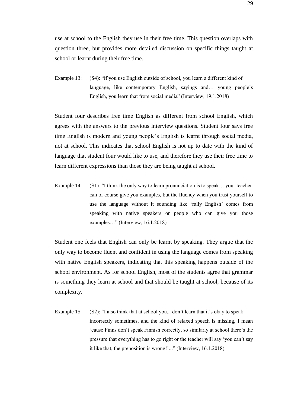use at school to the English they use in their free time. This question overlaps with question three, but provides more detailed discussion on specific things taught at school or learnt during their free time.

Example 13: (S4): "if you use English outside of school, you learn a different kind of language, like contemporary English, sayings and… young people's English, you learn that from social media" (Interview, 19.1.2018)

Student four describes free time English as different from school English, which agrees with the answers to the previous interview questions. Student four says free time English is modern and young people's English is learnt through social media, not at school. This indicates that school English is not up to date with the kind of language that student four would like to use, and therefore they use their free time to learn different expressions than those they are being taught at school.

Example 14: (S1): "I think the only way to learn pronunciation is to speak... your teacher can of course give you examples, but the fluency when you trust yourself to use the language without it sounding like 'rally English' comes from speaking with native speakers or people who can give you those examples…" (Interview, 16.1.2018)

Student one feels that English can only be learnt by speaking. They argue that the only way to become fluent and confident in using the language comes from speaking with native English speakers, indicating that this speaking happens outside of the school environment. As for school English, most of the students agree that grammar is something they learn at school and that should be taught at school, because of its complexity.

Example 15: (S2): "I also think that at school you... don't learn that it's okay to speak incorrectly sometimes, and the kind of relaxed speech is missing, I mean 'cause Finns don't speak Finnish correctly, so similarly at school there's the pressure that everything has to go right or the teacher will say 'you can't say it like that, the preposition is wrong!'..." (Interview, 16.1.2018)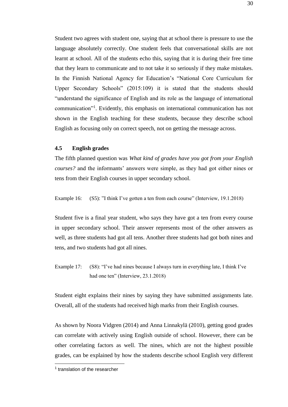Student two agrees with student one, saying that at school there is pressure to use the language absolutely correctly. One student feels that conversational skills are not learnt at school. All of the students echo this, saying that it is during their free time that they learn to communicate and to not take it so seriously if they make mistakes. In the Finnish National Agency for Education's "National Core Curriculum for Upper Secondary Schools" (2015:109) it is stated that the students should "understand the significance of English and its role as the language of international communication"<sup>1</sup> . Evidently, this emphasis on international communication has not shown in the English teaching for these students, because they describe school English as focusing only on correct speech, not on getting the message across.

#### **4.5 English grades**

The fifth planned question was *What kind of grades have you got from your English courses?* and the informants' answers were simple, as they had got either nines or tens from their English courses in upper secondary school.

Example 16: (S5): "I think I've gotten a ten from each course" (Interview, 19.1.2018)

Student five is a final year student, who says they have got a ten from every course in upper secondary school. Their answer represents most of the other answers as well, as three students had got all tens. Another three students had got both nines and tens, and two students had got all nines.

Example 17: (S8): "I've had nines because I always turn in everything late, I think I've had one ten" (Interview, 23.1.2018)

Student eight explains their nines by saying they have submitted assignments late. Overall, all of the students had received high marks from their English courses.

As shown by Noora Vidgren (2014) and Anna Linnakylä (2010), getting good grades can correlate with actively using English outside of school. However, there can be other correlating factors as well. The nines, which are not the highest possible grades, can be explained by how the students describe school English very different

<sup>&</sup>lt;sup>1</sup> translation of the researcher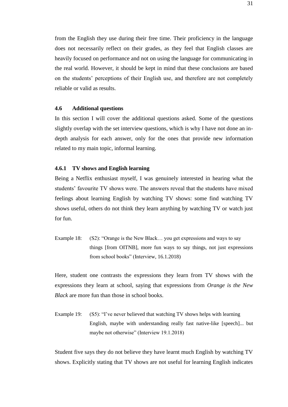from the English they use during their free time. Their proficiency in the language does not necessarily reflect on their grades, as they feel that English classes are heavily focused on performance and not on using the language for communicating in the real world. However, it should be kept in mind that these conclusions are based on the students' perceptions of their English use, and therefore are not completely reliable or valid as results.

#### **4.6 Additional questions**

In this section I will cover the additional questions asked. Some of the questions slightly overlap with the set interview questions, which is why I have not done an indepth analysis for each answer, only for the ones that provide new information related to my main topic, informal learning.

#### **4.6.1 TV shows and English learning**

Being a Netflix enthusiast myself, I was genuinely interested in hearing what the students' favourite TV shows were. The answers reveal that the students have mixed feelings about learning English by watching TV shows: some find watching TV shows useful, others do not think they learn anything by watching TV or watch just for fun.

Example 18: (S2): "Orange is the New Black... you get expressions and ways to say things [from OITNB], more fun ways to say things, not just expressions from school books" (Interview, 16.1.2018)

Here, student one contrasts the expressions they learn from TV shows with the expressions they learn at school, saying that expressions from *Orange is the New Black* are more fun than those in school books.

Example 19: (S5): "I've never believed that watching TV shows helps with learning English, maybe with understanding really fast native-like [speech]... but maybe not otherwise" (Interview 19.1.2018)

Student five says they do not believe they have learnt much English by watching TV shows. Explicitly stating that TV shows are not useful for learning English indicates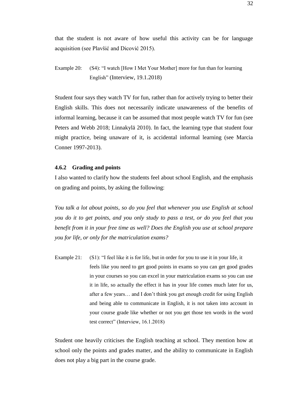that the student is not aware of how useful this activity can be for language acquisition (see Plavšić and Dicović 2015).

Student four says they watch TV for fun, rather than for actively trying to better their English skills. This does not necessarily indicate unawareness of the benefits of informal learning, because it can be assumed that most people watch TV for fun (see Peters and Webb 2018; Linnakylä 2010). In fact, the learning type that student four might practice, being unaware of it, is accidental informal learning (see Marcia Conner 1997-2013).

#### **4.6.2 Grading and points**

I also wanted to clarify how the students feel about school English, and the emphasis on grading and points, by asking the following:

*You talk a lot about points, so do you feel that whenever you use English at school you do it to get points, and you only study to pass a test, or do you feel that you benefit from it in your free time as well? Does the English you use at school prepare you for life, or only for the matriculation exams?*

Example 21: (S1): "I feel like it is for life, but in order for you to use it in your life, it feels like you need to get good points in exams so you can get good grades in your courses so you can excel in your matriculation exams so you can use it in life, so actually the effect it has in your life comes much later for us, after a few years… and I don't think you get enough credit for using English and being able to communicate in English, it is not taken into account in your course grade like whether or not you get those ten words in the word test correct" (Interview, 16.1.2018)

Student one heavily criticises the English teaching at school. They mention how at school only the points and grades matter, and the ability to communicate in English does not play a big part in the course grade.

Example 20: (S4): "I watch [How I Met Your Mother] more for fun than for learning English" (Interview, 19.1.2018)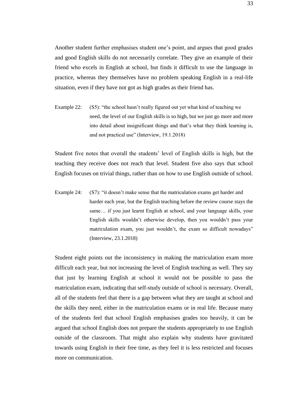Another student further emphasises student one's point, and argues that good grades and good English skills do not necessarily correlate. They give an example of their friend who excels in English at school, but finds it difficult to use the language in practice, whereas they themselves have no problem speaking English in a real-life situation, even if they have not got as high grades as their friend has.

Example 22: (S5): "the school hasn't really figured out yet what kind of teaching we need, the level of our English skills is so high, but we just go more and more into detail about insignificant things and that's what they think learning is, and not practical use" (Interview, 19.1.2018)

Student five notes that overall the students' level of English skills is high, but the teaching they receive does not reach that level. Student five also says that school English focuses on trivial things, rather than on how to use English outside of school.

Example 24: (S7): "it doesn't make sense that the matriculation exams get harder and harder each year, but the English teaching before the review course stays the same… if you just learnt English at school, and your language skills, your English skills wouldn't otherwise develop, then you wouldn't pass your matriculation exam, you just wouldn't, the exam so difficult nowadays" (Interview, 23.1.2018)

Student eight points out the inconsistency in making the matriculation exam more difficult each year, but not increasing the level of English teaching as well. They say that just by learning English at school it would not be possible to pass the matriculation exam, indicating that self-study outside of school is necessary. Overall, all of the students feel that there is a gap between what they are taught at school and the skills they need, either in the matriculation exams or in real life. Because many of the students feel that school English emphasises grades too heavily, it can be argued that school English does not prepare the students appropriately to use English outside of the classroom. That might also explain why students have gravitated towards using English in their free time, as they feel it is less restricted and focuses more on communication.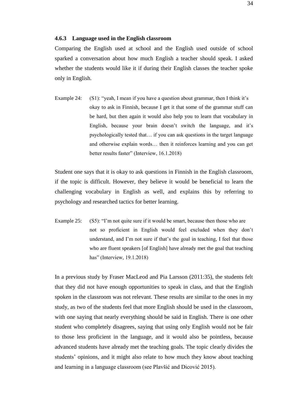#### **4.6.3 Language used in the English classroom**

Comparing the English used at school and the English used outside of school sparked a conversation about how much English a teacher should speak. I asked whether the students would like it if during their English classes the teacher spoke only in English.

Example 24: (S1): "yeah, I mean if you have a question about grammar, then I think it's okay to ask in Finnish, because I get it that some of the grammar stuff can be hard, but then again it would also help you to learn that vocabulary in English, because your brain doesn't switch the language, and it's psychologically tested that… if you can ask questions in the target language and otherwise explain words… then it reinforces learning and you can get better results faster" (Interview, 16.1.2018)

Student one says that it is okay to ask questions in Finnish in the English classroom, if the topic is difficult. However, they believe it would be beneficial to learn the challenging vocabulary in English as well, and explains this by referring to psychology and researched tactics for better learning.

Example 25: (S5): "I'm not quite sure if it would be smart, because then those who are not so proficient in English would feel excluded when they don't understand, and I'm not sure if that's the goal in teaching, I feel that those who are fluent speakers [of English] have already met the goal that teaching has" (Interview, 19.1.2018)

In a previous study by Fraser MacLeod and Pia Larsson (2011:35), the students felt that they did not have enough opportunities to speak in class, and that the English spoken in the classroom was not relevant. These results are similar to the ones in my study, as two of the students feel that more English should be used in the classroom, with one saying that nearly everything should be said in English. There is one other student who completely disagrees, saying that using only English would not be fair to those less proficient in the language, and it would also be pointless, because advanced students have already met the teaching goals. The topic clearly divides the students' opinions, and it might also relate to how much they know about teaching and learning in a language classroom (see Plavšić and Dicović 2015).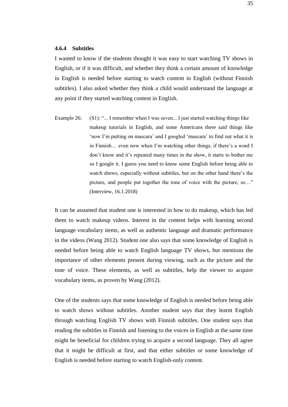#### **4.6.4 Subtitles**

I wanted to know if the students thought it was easy to start watching TV shows in English, or if it was difficult, and whether they think a certain amount of knowledge in English is needed before starting to watch content in English (without Finnish subtitles). I also asked whether they think a child would understand the language at any point if they started watching content in English.

Example 26: (S1): "... I remember when I was seven... I just started watching things like makeup tutorials in English, and some Americans there said things like 'now I'm putting on mascara' and I googled 'mascara' to find out what it is in Finnish… even now when I'm watching other things, if there's a word I don't know and it's repeated many times in the show, it starts to bother me so I google it. I guess you need to know some English before being able to watch shows, especially without subtitles, but on the other hand there's the picture, and people put together the tone of voice with the picture, so…" (Interview, 16.1.2018)

It can be assumed that student one is interested in how to do makeup, which has led them to watch makeup videos. Interest in the content helps with learning second language vocabulary items, as well as authentic language and dramatic performance in the videos (Wang 2012). Student one also says that some knowledge of English is needed before being able to watch English language TV shows, but mentions the importance of other elements present during viewing, such as the picture and the tone of voice. These elements, as well as subtitles, help the viewer to acquire vocabulary items, as proven by Wang (2012).

One of the students says that some knowledge of English is needed before being able to watch shows without subtitles. Another student says that they learnt English through watching English TV shows with Finnish subtitles. One student says that reading the subtitles in Finnish and listening to the voices in English at the same time might be beneficial for children trying to acquire a second language. They all agree that it might be difficult at first, and that either subtitles or some knowledge of English is needed before starting to watch English-only content.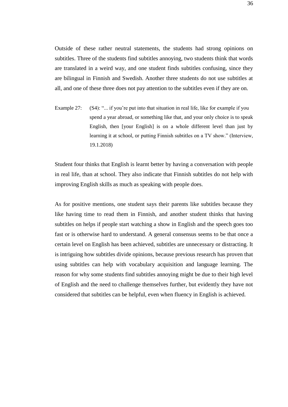Outside of these rather neutral statements, the students had strong opinions on subtitles. Three of the students find subtitles annoying, two students think that words are translated in a weird way, and one student finds subtitles confusing, since they are bilingual in Finnish and Swedish. Another three students do not use subtitles at all, and one of these three does not pay attention to the subtitles even if they are on.

Example 27: (S4): "... if you're put into that situation in real life, like for example if you spend a year abroad, or something like that, and your only choice is to speak English, then [your English] is on a whole different level than just by learning it at school, or putting Finnish subtitles on a TV show." (Interview, 19.1.2018)

Student four thinks that English is learnt better by having a conversation with people in real life, than at school. They also indicate that Finnish subtitles do not help with improving English skills as much as speaking with people does.

As for positive mentions, one student says their parents like subtitles because they like having time to read them in Finnish, and another student thinks that having subtitles on helps if people start watching a show in English and the speech goes too fast or is otherwise hard to understand. A general consensus seems to be that once a certain level on English has been achieved, subtitles are unnecessary or distracting. It is intriguing how subtitles divide opinions, because previous research has proven that using subtitles can help with vocabulary acquisition and language learning. The reason for why some students find subtitles annoying might be due to their high level of English and the need to challenge themselves further, but evidently they have not considered that subtitles can be helpful, even when fluency in English is achieved.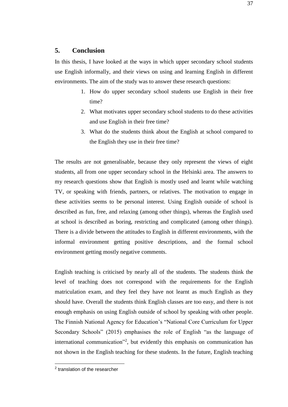## **5. Conclusion**

In this thesis, I have looked at the ways in which upper secondary school students use English informally, and their views on using and learning English in different environments. The aim of the study was to answer these research questions:

- 1. How do upper secondary school students use English in their free time?
- 2. What motivates upper secondary school students to do these activities and use English in their free time?
- 3. What do the students think about the English at school compared to the English they use in their free time?

The results are not generalisable, because they only represent the views of eight students, all from one upper secondary school in the Helsinki area. The answers to my research questions show that English is mostly used and learnt while watching TV, or speaking with friends, partners, or relatives. The motivation to engage in these activities seems to be personal interest. Using English outside of school is described as fun, free, and relaxing (among other things), whereas the English used at school is described as boring, restricting and complicated (among other things). There is a divide between the attitudes to English in different environments, with the informal environment getting positive descriptions, and the formal school environment getting mostly negative comments.

English teaching is criticised by nearly all of the students. The students think the level of teaching does not correspond with the requirements for the English matriculation exam, and they feel they have not learnt as much English as they should have. Overall the students think English classes are too easy, and there is not enough emphasis on using English outside of school by speaking with other people. The Finnish National Agency for Education's "National Core Curriculum for Upper Secondary Schools" (2015) emphasises the role of English "as the language of international communication"<sup>2</sup> , but evidently this emphasis on communication has not shown in the English teaching for these students. In the future, English teaching

<sup>&</sup>lt;sup>2</sup> translation of the researcher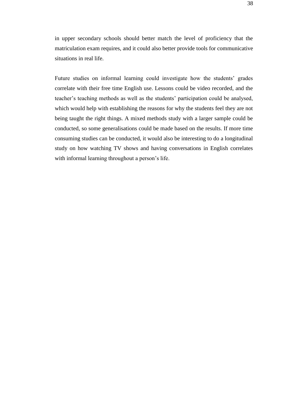in upper secondary schools should better match the level of proficiency that the matriculation exam requires, and it could also better provide tools for communicative situations in real life.

Future studies on informal learning could investigate how the students' grades correlate with their free time English use. Lessons could be video recorded, and the teacher's teaching methods as well as the students' participation could be analysed, which would help with establishing the reasons for why the students feel they are not being taught the right things. A mixed methods study with a larger sample could be conducted, so some generalisations could be made based on the results. If more time consuming studies can be conducted, it would also be interesting to do a longitudinal study on how watching TV shows and having conversations in English correlates with informal learning throughout a person's life.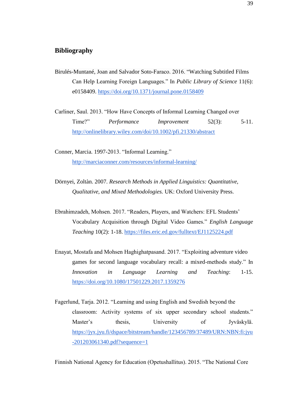## **Bibliography**

Birulés-Muntané, Joan and Salvador Soto-Faraco. 2016. "Watching Subtitled Films Can Help Learning Foreign Languages." In *Public Library of Science* 11(6): e0158409.<https://doi.org/10.1371/journal.pone.0158409>

Carliner, Saul. 2013. "How Have Concepts of Informal Learning Changed over Time?" *Performance Improvement* 52(3): 5-11. <http://onlinelibrary.wiley.com/doi/10.1002/pfi.21330/abstract>

Conner, Marcia. 1997-2013. "Informal Learning." <http://marciaconner.com/resources/informal-learning/>

- Dörnyei, Zoltàn. 2007. *Research Methods in Applied Linguistics: Quantitative, Qualitative, and Mixed Methodologies.* UK: Oxford University Press.
- Ebrahimzadeh, Mohsen. 2017. "Readers, Players, and Watchers: EFL Students' Vocabulary Acquisition through Digital Video Games." *English Language Teaching* 10(2): 1-18.<https://files.eric.ed.gov/fulltext/EJ1125224.pdf>
- Enayat, Mostafa and Mohsen Haghighatpasand. 2017. "Exploiting adventure video games for second language vocabulary recall: a mixed-methods study." In *Innovation in Language Learning and Teaching*: 1-15. <https://doi.org/10.1080/17501229.2017.1359276>
- Fagerlund, Tarja. 2012. "Learning and using English and Swedish beyond the classroom: Activity systems of six upper secondary school students." Master's thesis, University of Jyväskylä. [https://jyx.jyu.fi/dspace/bitstream/handle/123456789/37489/URN:NBN:fi:jyu](https://jyx.jyu.fi/dspace/bitstream/handle/123456789/37489/URN:NBN:fi:jyu-201203061340.pdf?sequence=1) [-201203061340.pdf?sequence=1](https://jyx.jyu.fi/dspace/bitstream/handle/123456789/37489/URN:NBN:fi:jyu-201203061340.pdf?sequence=1)

Finnish National Agency for Education (Opetushallitus). 2015. "The National Core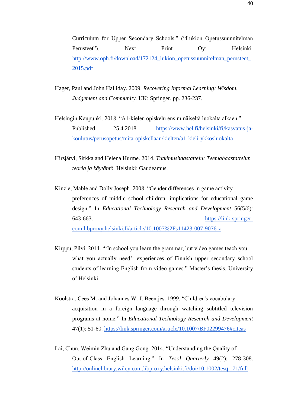Curriculum for Upper Secondary Schools." ("Lukion Opetussuunnitelman Perusteet"). Next Print Oy: Helsinki. http://www.oph.fi/download/172124 lukion opetussuunnitelman perusteet [2015.pdf](http://www.oph.fi/download/172124_lukion_opetussuunnitelman_perusteet_2015.pdf)

Hager, Paul and John Halliday. 2009. *Recovering Informal Learning: Wisdom, Judgement and Community.* UK: Springer. pp. 236-237.

Helsingin Kaupunki. 2018. "A1-kielen opiskelu ensimmäiseltä luokalta alkaen." Published 25.4.2018. [https://www.hel.fi/helsinki/fi/kasvatus-ja](https://www.hel.fi/helsinki/fi/kasvatus-ja-koulutus/perusopetus/mita-opiskellaan/kielten/a1-kieli-ykkosluokalta)[koulutus/perusopetus/mita-opiskellaan/kielten/a1-kieli-ykkosluokalta](https://www.hel.fi/helsinki/fi/kasvatus-ja-koulutus/perusopetus/mita-opiskellaan/kielten/a1-kieli-ykkosluokalta)

Hirsjärvi, Sirkka and Helena Hurme. 2014. *Tutkimushaastattelu: Teemahaastattelun teoria ja käytäntö.* Helsinki: Gaudeamus.

Kinzie, Mable and Dolly Joseph. 2008. "Gender differences in game activity preferences of middle school children: implications for educational game design." In *Educational Technology Research and Development* 56(5/6): 643-663. [https://link-springer](https://link-springer-com.libproxy.helsinki.fi/article/10.1007%2Fs11423-007-9076-z)[com.libproxy.helsinki.fi/article/10.1007%2Fs11423-007-9076-z](https://link-springer-com.libproxy.helsinki.fi/article/10.1007%2Fs11423-007-9076-z)

Kirppu, Pilvi. 2014. "'In school you learn the grammar, but video games teach you what you actually need': experiences of Finnish upper secondary school students of learning English from video games." Master's thesis, University of Helsinki.

Koolstra, Cees M. and Johannes W. J. Beentjes. 1999. "Children's vocabulary acquisition in a foreign language through watching subtitled television programs at home." In *Educational Technology Research and Development*  47(1): 51-60.<https://link.springer.com/article/10.1007/BF02299476#citeas>

Lai, Chun, Weimin Zhu and Gang Gong. 2014. "Understanding the Quality of Out-of-Class English Learning." In *Tesol Quarterly* 49(2): 278-308. <http://onlinelibrary.wiley.com.libproxy.helsinki.fi/doi/10.1002/tesq.171/full>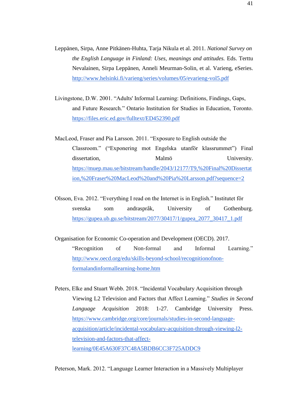- Leppänen, Sirpa, Anne Pitkänen-Huhta, Tarja Nikula et al. 2011. *National Survey on the English Language in Finland: Uses, meanings and attitudes.* Eds. Terttu Nevalainen, Sirpa Leppänen, Anneli Meurman-Solin, et al. Varieng, eSeries. <http://www.helsinki.fi/varieng/series/volumes/05/evarieng-vol5.pdf>
- Livingstone, D.W. 2001. "Adults' Informal Learning: Definitions, Findings, Gaps, and Future Research." Ontario Institution for Studies in Education, Toronto. <https://files.eric.ed.gov/fulltext/ED452390.pdf>
- MacLeod, Fraser and Pia Larsson. 2011. "Exposure to English outside the Classroom." ("Exponering mot Engelska utanför klassrummet") Final dissertation, Malmö University. [https://muep.mau.se/bitstream/handle/2043/12177/T9,%20Final%20Dissertat](https://muep.mau.se/bitstream/handle/2043/12177/T9,%20Final%20Dissertation,%20Fraser%20MacLeod%20and%20Pia%20Larsson.pdf?sequence=2) [ion,%20Fraser%20MacLeod%20and%20Pia%20Larsson.pdf?sequence=2](https://muep.mau.se/bitstream/handle/2043/12177/T9,%20Final%20Dissertation,%20Fraser%20MacLeod%20and%20Pia%20Larsson.pdf?sequence=2)

Olsson, Eva. 2012. "Everything I read on the Internet is in English." Institutet för svenska som andraspråk, University of Gothenburg. [https://gupea.ub.gu.se/bitstream/2077/30417/1/gupea\\_2077\\_30417\\_1.pdf](https://gupea.ub.gu.se/bitstream/2077/30417/1/gupea_2077_30417_1.pdf)

- Organisation for Economic Co-operation and Development (OECD). 2017. "Recognition of Non-formal and Informal Learning." [http://www.oecd.org/edu/skills-beyond-school/recognitionofnon](http://www.oecd.org/edu/skills-beyond-school/recognitionofnon-formalandinformallearning-home.htm)[formalandinformallearning-home.htm](http://www.oecd.org/edu/skills-beyond-school/recognitionofnon-formalandinformallearning-home.htm)
- Peters, Elke and Stuart Webb. 2018. "Incidental Vocabulary Acquisition through Viewing L2 Television and Factors that Affect Learning." *Studies in Second Language Acquisition* 2018: 1-27. Cambridge University Press. [https://www.cambridge.org/core/journals/studies-in-second-language](https://www.cambridge.org/core/journals/studies-in-second-language-acquisition/article/incidental-vocabulary-acquisition-through-viewing-l2-television-and-factors-that-affect-learning/0E45A630F37C48A5BDB6CC3F725ADDC9)[acquisition/article/incidental-vocabulary-acquisition-through-viewing-l2](https://www.cambridge.org/core/journals/studies-in-second-language-acquisition/article/incidental-vocabulary-acquisition-through-viewing-l2-television-and-factors-that-affect-learning/0E45A630F37C48A5BDB6CC3F725ADDC9) [television-and-factors-that-affect](https://www.cambridge.org/core/journals/studies-in-second-language-acquisition/article/incidental-vocabulary-acquisition-through-viewing-l2-television-and-factors-that-affect-learning/0E45A630F37C48A5BDB6CC3F725ADDC9)[learning/0E45A630F37C48A5BDB6CC3F725ADDC9](https://www.cambridge.org/core/journals/studies-in-second-language-acquisition/article/incidental-vocabulary-acquisition-through-viewing-l2-television-and-factors-that-affect-learning/0E45A630F37C48A5BDB6CC3F725ADDC9)

Peterson, Mark. 2012. "Language Learner Interaction in a Massively Multiplayer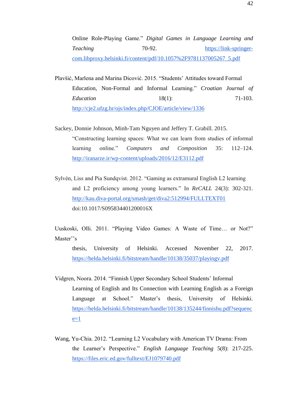Online Role-Playing Game." *Digital Games in Language Learning and Teaching* 70-92. [https://link-springer](https://link-springer-com.libproxy.helsinki.fi/content/pdf/10.1057%2F9781137005267_5.pdf)[com.libproxy.helsinki.fi/content/pdf/10.1057%2F9781137005267\\_5.pdf](https://link-springer-com.libproxy.helsinki.fi/content/pdf/10.1057%2F9781137005267_5.pdf)

- Plavšić, Marlena and Marina Dicović. 2015. "Students' Attitudes toward Formal Education, Non-Formal and Informal Learning." *Croatian Journal of Education* 18(1): 71-103. <http://cje2.ufzg.hr/ojs/index.php/CJOE/article/view/1336>
- Sackey, Donnie Johnson, Minh-Tam Nguyen and Jeffery T. Grabill. 2015. "Constructing learning spaces: What we can learn from studies of informal learning online." *Computers and Composition* 35: 112–124. <http://iranarze.ir/wp-content/uploads/2016/12/E3112.pdf>
- Sylvén, Liss and Pia Sundqvist. 2012. "Gaming as extramural English L2 learning and L2 proficiency among young learners." In *ReCALL* 24(3): 302-321. <http://kau.diva-portal.org/smash/get/diva2:512994/FULLTEXT01> doi:10.1017/S095834401200016X

Uuskoski, Olli. 2011. "Playing Video Games: A Waste of Time… or Not?" Master''s

thesis, University of Helsinki. Accessed November 22, 2017. <https://helda.helsinki.fi/bitstream/handle/10138/35037/playingv.pdf>

- Vidgren, Noora. 2014. "Finnish Upper Secondary School Students' Informal Learning of English and Its Connection with Learning English as a Foreign Language at School." Master's thesis, University of Helsinki. [https://helda.helsinki.fi/bitstream/handle/10138/135244/finnishu.pdf?sequenc](https://helda.helsinki.fi/bitstream/handle/10138/135244/finnishu.pdf?sequence=1)  $e=1$
- Wang, Yu-Chia. 2012. "Learning L2 Vocabulary with American TV Drama: From the Learner's Perspective." *English Language Teaching* 5(8): 217-225. <https://files.eric.ed.gov/fulltext/EJ1079740.pdf>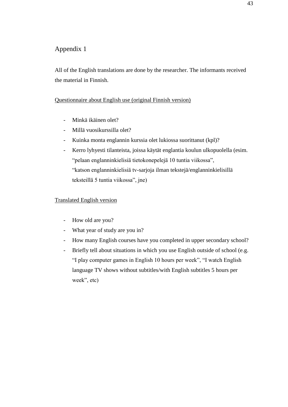# Appendix 1

All of the English translations are done by the researcher. The informants received the material in Finnish.

## Questionnaire about English use (original Finnish version)

- Minkä ikäinen olet?
- Millä vuosikurssilla olet?
- Kuinka monta englannin kurssia olet lukiossa suorittanut (kpl)?
- Kerro lyhyesti tilanteista, joissa käytät englantia koulun ulkopuolella (esim. "pelaan englanninkielisiä tietokonepelejä 10 tuntia viikossa", "katson englanninkielisiä tv-sarjoja ilman tekstejä/englanninkielisillä teksteillä 5 tuntia viikossa", jne)

## Translated English version

- How old are you?
- What year of study are you in?
- How many English courses have you completed in upper secondary school?
- Briefly tell about situations in which you use English outside of school (e.g. "I play computer games in English 10 hours per week", "I watch English language TV shows without subtitles/with English subtitles 5 hours per week", etc)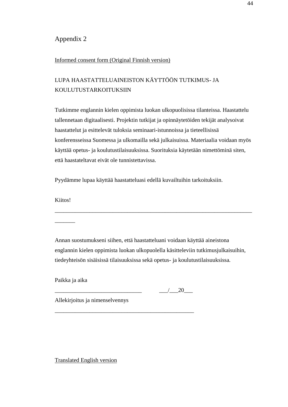## Appendix 2

#### Informed consent form (Original Finnish version)

# LUPA HAASTATTELUAINEISTON KÄYTTÖÖN TUTKIMUS- JA KOULUTUSTARKOITUKSIIN

Tutkimme englannin kielen oppimista luokan ulkopuolisissa tilanteissa. Haastattelu tallennetaan digitaalisesti. Projektin tutkijat ja opinnäytetöiden tekijät analysoivat haastattelut ja esittelevät tuloksia seminaari-istunnoissa ja tieteellisissä konferensseissa Suomessa ja ulkomailla sekä julkaisuissa. Materiaalia voidaan myös käyttää opetus- ja koulutustilaisuuksissa. Suorituksia käytetään nimettöminä siten, että haastateltavat eivät ole tunnistettavissa.

Pyydämme lupaa käyttää haastatteluasi edellä kuvailtuihin tarkoituksiin.

Kiitos!

\_\_\_\_\_\_\_

Annan suostumukseni siihen, että haastatteluani voidaan käyttää aineistona englannin kielen oppimista luokan ulkopuolella käsitteleviin tutkimusjulkaisuihin, tiedeyhteisön sisäisissä tilaisuuksissa sekä opetus- ja koulutustilaisuuksissa.

\_\_\_\_\_\_\_\_\_\_\_\_\_\_\_\_\_\_\_\_\_\_\_\_\_\_\_\_\_\_\_\_\_\_\_\_\_\_\_\_\_\_\_\_\_\_\_\_\_\_\_\_\_\_\_\_\_\_\_\_\_\_\_\_\_\_\_\_

Paikka ja aika

 $\frac{1}{20}$ 

Allekirjoitus ja nimenselvennys

\_\_\_\_\_\_\_\_\_\_\_\_\_\_\_\_\_\_\_\_\_\_\_\_\_\_\_\_\_\_\_\_\_\_\_\_\_\_\_\_\_\_\_\_\_\_\_\_

Translated English version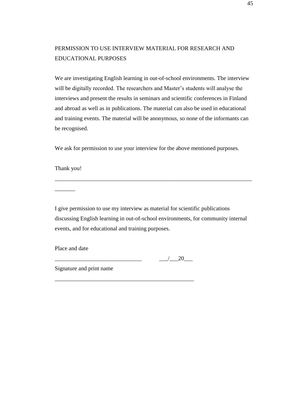# PERMISSION TO USE INTERVIEW MATERIAL FOR RESEARCH AND EDUCATIONAL PURPOSES

We are investigating English learning in out-of-school environments. The interview will be digitally recorded. The researchers and Master's students will analyse the interviews and present the results in seminars and scientific conferences in Finland and abroad as well as in publications. The material can also be used in educational and training events. The material will be anonymous, so none of the informants can be recognised.

We ask for permission to use your interview for the above mentioned purposes.

Thank you!

\_\_\_\_\_\_\_

I give permission to use my interview as material for scientific publications discussing English learning in out-of-school environments, for community internal events, and for educational and training purposes.

\_\_\_\_\_\_\_\_\_\_\_\_\_\_\_\_\_\_\_\_\_\_\_\_\_\_\_\_\_\_\_\_\_\_\_\_\_\_\_\_\_\_\_\_\_\_\_\_

\_\_\_\_\_\_\_\_\_\_\_\_\_\_\_\_\_\_\_\_\_\_\_\_\_\_\_\_\_\_\_\_\_\_\_\_\_\_\_\_\_\_\_\_\_\_\_\_\_\_\_\_\_\_\_\_\_\_\_\_\_\_\_\_\_\_\_\_

Place and date

 $\frac{1}{20}$   $\frac{1}{20}$ 

Signature and print name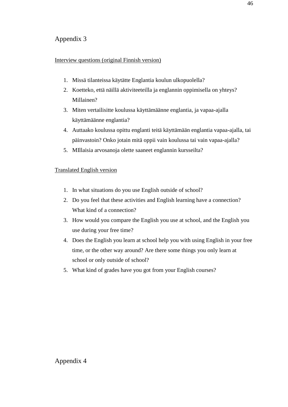# Appendix 3

## Interview questions (original Finnish version)

- 1. Missä tilanteissa käytätte Englantia koulun ulkopuolella?
- 2. Koetteko, että näillä aktiviteeteilla ja englannin oppimisella on yhteys? Millainen?
- 3. Miten vertailisitte koulussa käyttämäänne englantia, ja vapaa-ajalla käyttämäänne englantia?
- 4. Auttaako koulussa opittu englanti teitä käyttämään englantia vapaa-ajalla, tai päinvastoin? Onko jotain mitä oppii vain koulussa tai vain vapaa-ajalla?
- 5. MIllaisia arvosanoja olette saaneet englannin kursseilta?

# Translated English version

- 1. In what situations do you use English outside of school?
- 2. Do you feel that these activities and English learning have a connection? What kind of a connection?
- 3. How would you compare the English you use at school, and the English you use during your free time?
- 4. Does the English you learn at school help you with using English in your free time, or the other way around? Are there some things you only learn at school or only outside of school?
- 5. What kind of grades have you got from your English courses?

Appendix 4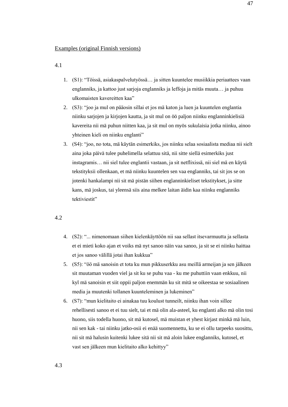#### Examples (original Finnish versions)

4.1

- 1. (S1): "Töissä, asiakaspalvelutyössä… ja sitten kuuntelee musiikkia periaattees vaan englanniks, ja kattoo just sarjoja englanniks ja leffoja ja mitäs muuta… ja puhuu ulkomaisten kavereitten kaa"
- 2. (S3): "joo ja mul on pääosin sillai et jos mä katon ja luen ja kuuntelen englantia niinku sarjojen ja kirjojen kautta, ja sit mul on öö paljon niinku englanninkielisiä kavereita nii mä puhun niitten kaa, ja sit mul on myös sukulaisia jotka niinku, ainoo yhteinen kieli on niinku englanti"
- 3. (S4): "joo, no tota, mä käytän esimerkiks, jos niinku selaa sosiaalista mediaa nii sielt aina joka päivä tulee puhelimella selattuu sitä, nii sitte siellä esimerkiks just instagramis… nii siel tulee englantii vastaan, ja sit netflixissä, nii siel mä en käytä tekstityksii ollenkaan, et mä niinku kuuntelen sen vaa englanniks, tai sit jos se on jotenki hankalampi nii sit mä pistän siihen englanninkieliset tekstitykset, ja sitte kans, mä joskus, tai yleensä siis aina melkee laitan äidin kaa niinku englanniks tektiviestit"

#### 4.2

- 4. (S2): "... nimenomaan siihen kielenkäyttöön nii saa sellast itsevarmuutta ja sellasta et ei mieti koko ajan et voiks mä nyt sanoo näin vaa sanoo, ja sit se ei niinku haittaa et jos sanoo välillä jotai ihan kukkua"
- 5. (S5): "öö mä sanoisin et tota ku mun pikkuserkku asu meillä armeijan ja sen jälkeen sit muutaman vuoden viel ja sit ku se puhu vaa - ku me puhuttiin vaan enkkuu, nii kyl mä sanoisin et siit oppii paljon enemmän ku sit mitä se oikeestaa se sosiaalinen media ja muutenki tollanen kuunteleminen ja lukeminen"
- 6. (S7): "mun kielitaito ei ainakaa tuu koulust tunneilt, niinku ihan voin sillee rehellisesti sanoo et ei tuu sielt, tai et mä olin ala-asteel, ku englanti alko mä olin tosi huono, siis todella huono, sit mä kutosel, mä muistan et yhest kirjast minkä mä luin, nii sen kak - tai niinku jatko-osii ei enää suomennettu, ku se ei ollu tarpeeks suosittu, nii sit mä halusin kuitenki lukee sitä nii sit mä aloin lukee englanniks, kutosel, et vast sen jälkeen mun kielitaito alko kehittyy"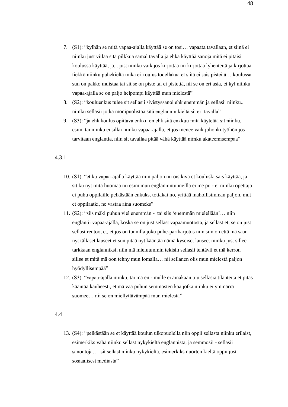- 7. (S1): "kylhän se mitä vapaa-ajalla käyttää se on tosi… vapaata tavallaan, et siinä ei niinku just viilaa sitä pilkkua samal tavalla ja ehkä käyttää sanoja mitä ei pitäisi koulussa käyttää, ja... just niinku vaik jos kirjottaa nii kirjottaa lyhenteitä ja kirjottaa tiekkö niinku puhekieltä mikä ei koulus todellakaa et siitä ei sais pisteitä… koulussa sun on pakko muistaa tai sit se on piste tai ei pistettä, nii se on eri asia, et kyl niinku vapaa-ajalla se on paljo helpompi käyttää mun mielestä"
- 8. (S2): "kouluenkus tulee sit sellasii sivistyssanoi ehk enemmän ja sellasii niinku.. niinku sellasii jotka monipuolistaa sitä englannin kieltä sit eri tavalla"
- 9. (S3): "ja ehk koulus opittava enkku on ehk sitä enkkuu mitä käytetää sit niinku, esim, tai niinku ei sillai niinku vapaa-ajalla, et jos menee vaik johonki työhön jos tarvitaan englantia, niin sit tavallaa pitää vähä käyttää niinku akateemisempaa"

#### 4.3.1

- 10. (S1): "et ku vapaa-ajalla käyttää niin paljon nii ois kiva et kouluski sais käyttää, ja sit ku nyt mitä huomaa nii esim mun englannintunneilla ei me pu - ei niinku opettaja ei puhu oppilaille pelkästään enkuks, tottakai no, yrittää mahollisimman paljon, mut et oppilaatki, ne vastaa aina suomeks"
- 11. (S2): "siis mäki puhun viel enemmän tai siis 'enemmän mielellään'… niin englantii vapaa-ajalla, koska se on just sellast vapaamuotosta, ja sellast et, se on just sellast rentoo, et, et jos on tunnilla joku puhe-pariharjotus niin siin on että mä saan nyt tällaset lauseet et sun pitää nyt kääntää nämä kyseiset lauseet niinku just sillee tarkkaan englanniksi, niin mä mieluummin tekisin sellasii tehtävii et mä kerron sillee et mitä mä oon tehny mun lomalla… nii sellanen olis mun mielestä paljon hyödyllisempää"
- 12. (S3): "vapaa-ajalla niinku, tai mä en mulle ei ainakaan tuu sellasia tilanteita et pitäs kääntää kauheesti, et mä vaa puhun semmosten kaa jotka niinku ei ymmärrä suomee… nii se on miellyttävämpää mun mielestä"

#### 4.4

13. (S4): "pelkästään se et käyttää koulun ulkopuolella niin oppii sellasta niinku erilaist, esimerkiks vähä niinku sellast nykykieltä englannista, ja semmosii - sellasii sanontoja… sit sellast niinku nykykieltä, esimerkiks nuorten kieltä oppii just sosiaalisest mediasta"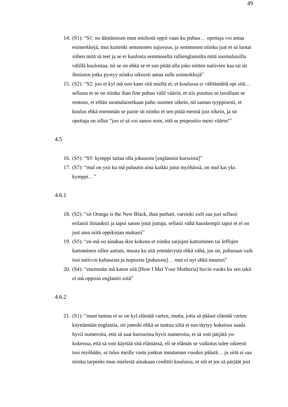- 14. (S1): "S1: no ääntämisen mun mielestä oppii vaan ku puhuu… opettaja voi antaa esimerkkejä, mut kuitenki semmonen sujuvuus, ja semmonen niinku just et sä luotat siihen mitä sä teet ja se ei kuulosta semmoselta rallienglannilta mitä suomalaisilla välillä kuulostaa, nii se on ehkä se et sun pitää olla joko niitten natiivien kaa tai sit ihmisten jotka pystyy niinku oikeesti antaa sulle esimerkkejä"
- 15. (S2): "S2: joo et kyl mä oon kans sitä mieltä et, et koulussa ei välttämättä opi sitä… sellasta et se on niinku ihan fine puhuu välil väärin, et siis puuttuu se tavallaan se rentous, et eihän suomalaisetkaan puhu suomee oikein, nii saman tyyppisesti, et koulus ehkä enemmän se paine sit niinku et sen pitää mennä just oikein, ja sit opettaja on sillee "joo et sä voi sanoo noin, että se prepositio meni väärin!"

#### 4.5

- 16. (S5): "S5: kymppi taitaa olla jokasesta [englannin kurssista]"
- 17. (S7): "mul on ysii ku mä palautin aina kaikki jutut myöhässä, on mul kai yks kymppi…"

#### 4.6.1

- 18. (S2): "sit Orange is the New Black, ihan parhait, varsinki sielt saa just sellasii erilaisii ilmauksii ja tapoi sanoo jotai juttuja, sellasii vähä hauskempii tapoi et ei oo just aina niitä oppikirjan mukasii"
- 19. (S5): "en mä oo ainakaa ikin kokenu et niinku sarjojen kattominen tai leffojen kattominen sillee auttais, muuta ku sitä ymmärrystä ehkä vähä, jos on, puhutaan vaik tosi natiivin kaltasesta ja nopeesta [puheesta]… mut ei nyt ehkä muuten"
- 20. (S4): "enemmän mä katon sitä [How I Met Your Motheria] huvin vuoks ku sen takii et mä oppisin englantii siitä"

#### 4.6.2

21. (S1): "must tuntuu et se on kyl elämää varten, mutta, jotta sä pääset elämää varten käyttämään englantia, nii jotenki ehkä se tuntuu siltä et sun täytyy kokeissa saada hyvii numeroita, että sä saat kursseista hyvii numeroita, et sä voit pärjätä yokokeissa, että sä voit käyttää sitä elämässä, eli se elämäs se vaikutus tulee oikeesti tosi myöhään, se tulee meille vasta jonkun muutaman vuoden päästä… ja siitä ei saa niinku tarpeeks mun mielestä ainakaan credittii koulussa, et siit et jos sä pärjäät just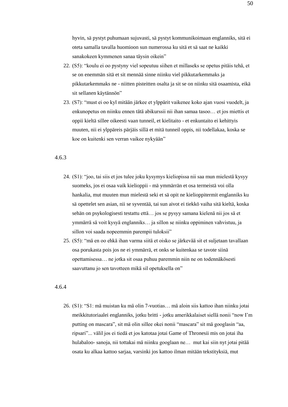hyvin, sä pystyt puhumaan sujuvasti, sä pystyt kommunikoimaan englanniks, sitä ei oteta samalla tavalla huomioon sun numerossa ku sitä et sä saat ne kaikki sanakokeen kymmenen sanaa täysin oikein"

- 22. (S5): "koulu ei oo pystyny viel sopeutuu siihen et millaseks se opetus pitäis tehä, et se on enemmän sitä et sit mennää sinne niinku viel pikkutarkemmaks ja pikkutarkemmaks ne - niitten pisteitten osalta ja sit se on niinku sitä osaamista, eikä sit sellanen käytännön"
- 23. (S7): "must ei oo kyl mitään järkee et ylppärit vaikenee koko ajan vuosi vuodelt, ja enkunopetus on niinku ennen tätä abikurssii nii ihan samaa tasoo… et jos miettis et oppii kieltä sillee oikeesti vaan tunneil, et kielitaito - et enkuntaito ei kehittyis muuten, nii ei ylppäreis pärjäis sillä et mitä tunneil oppis, nii todellakaa, koska se koe on kuitenki sen verran vaikee nykyään"

#### 4.6.3

- 24. (S1): "joo, tai siis et jos tulee joku kysymys kieliopissa nii saa mun mielestä kysyy suomeks, jos ei osaa vaik kielioppii - mä ymmärrän et osa termeistä voi olla hankalia, mut muuten mun mielestä seki et sä opit ne kielioppitermit englanniks ku sä opettelet sen asian, nii se syventää, tai sun aivot ei tiekkö vaiha sitä kieltä, koska sehän on psykologisesti testattu että… jos se pysyy samana kielenä nii jos sä et ymmärrä sä voit kysyä englanniks… ja sillon se niinku oppiminen vahvistuu, ja sillon voi saada nopeemmin parempii tuloksii"
- 25. (S5): "mä en oo ehkä ihan varma siitä et oisko se järkevää sit et suljetaan tavallaan osa porukasta pois jos ne ei ymmärrä, et onks se kuitenkaa se tavote siinä opettamisessa… ne jotka sit osaa puhuu paremmin niin ne on todennäkösesti saavuttanu jo sen tavotteen mikä sil opetuksella on"

#### 4.6.4

26. (S1): "S1: mä muistan ku mä olin 7-vuotias… mä aloin siis kattoo ihan niinku jotai meikkitutoriaalei englanniks, jotku britti - jotku amerikkalaiset siellä nonii "now I'm putting on mascara", sit mä olin sillee okei nonii "mascara" sit mä googlasin "aa, ripsari"... välil jos ei tiedä et jos katotaa jotai Game of Thronesii mis on jotai iha hulabaloo- sanoja, nii tottakai mä niinku googlaan ne… mut kai siin nyt jotai pitää osata ku alkaa kattoo sarjaa, varsinki jos kattoo ilman mitään tekstityksiä, mut